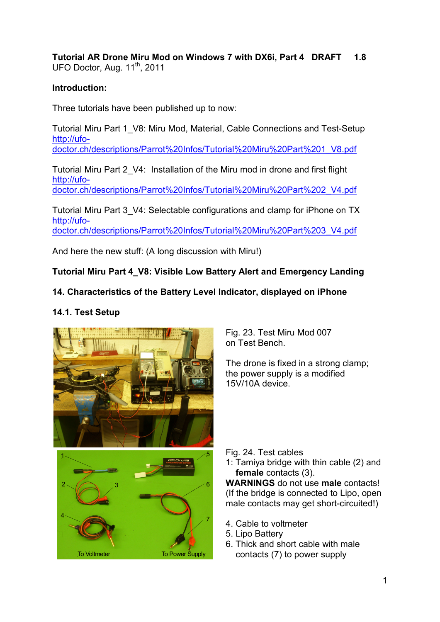**Tutorial AR Drone Miru Mod on Windows 7 with DX6i, Part 4 DRAFT 1.8**  UFO Doctor, Aug. 11<sup>th</sup>, 2011

## **Introduction:**

Three tutorials have been published up to now:

Tutorial Miru Part 1\_V8: Miru Mod, Material, Cable Connections and Test-Setup http://ufo-

doctor.ch/descriptions/Parrot%20Infos/Tutorial%20Miru%20Part%201\_V8.pdf

Tutorial Miru Part 2\_V4: Installation of the Miru mod in drone and first flight http://ufodoctor.ch/descriptions/Parrot%20Infos/Tutorial%20Miru%20Part%202\_V4.pdf

Tutorial Miru Part 3\_V4: Selectable configurations and clamp for iPhone on TX http://ufodoctor.ch/descriptions/Parrot%20Infos/Tutorial%20Miru%20Part%203\_V4.pdf

And here the new stuff: (A long discussion with Miru!)

# **Tutorial Miru Part 4\_V8: Visible Low Battery Alert and Emergency Landing**

# **14. Characteristics of the Battery Level Indicator, displayed on iPhone**

# **14.1. Test Setup**



Fig. 23. Test Miru Mod 007 on Test Bench.

The drone is fixed in a strong clamp; the power supply is a modified 15V/10A device.

Fig. 24. Test cables

1: Tamiya bridge with thin cable (2) and **female** contacts (3).

**WARNINGS** do not use **male** contacts! (If the bridge is connected to Lipo, open male contacts may get short-circuited!)

- 4. Cable to voltmeter
- 5. Lipo Battery
- 6. Thick and short cable with male contacts (7) to power supply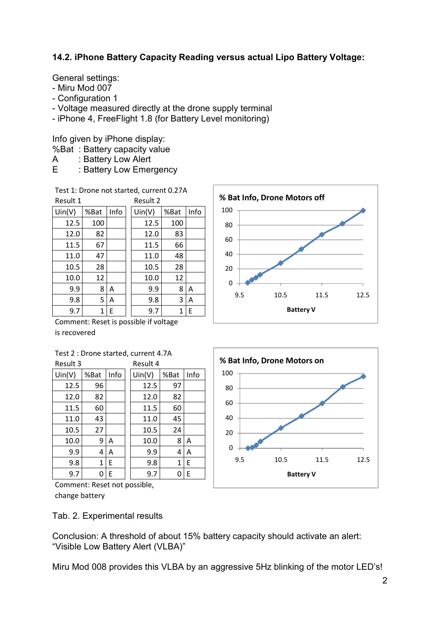## **14.2. iPhone Battery Capacity Reading versus actual Lipo Battery Voltage:**

General settings:

- Miru Mod 007
- Configuration 1
- Voltage measured directly at the drone supply terminal
- iPhone 4, FreeFlight 1.8 (for Battery Level monitoring)

Info given by iPhone display:

- %Bat : Battery capacity value
- A : Battery Low Alert
- E : Battery Low Emergency

Test 1: Drone not started, current 0.27A

| Result 1 |      |      | Result 2 |      |      |
|----------|------|------|----------|------|------|
| Un(V)    | %Bat | Info | Un(V)    | %Bat | Info |
| 12.5     | 100  |      | 12.5     | 100  |      |
| 12.0     | 82   |      | 12.0     | 83   |      |
| 11.5     | 67   |      | 11.5     | 66   |      |
| 11.0     | 47   |      | 11.0     | 48   |      |
| 10.5     | 28   |      | 10.5     | 28   |      |
| 10.0     | 12   |      | 10.0     | 12   |      |
| 9.9      | 8    | Α    | 9.9      | 8    | A    |
| 9.8      | 5    | Α    | 9.8      | 3    | Α    |
| 9.7      | 1    | Е    | 9.7      | 1    | E    |

Comment: Reset is possible if voltage is recovered

| Test 2 : Drone started, current 4.7A |  |
|--------------------------------------|--|
|--------------------------------------|--|

| Result 3 |      |      | Result 4 |       |      |      |
|----------|------|------|----------|-------|------|------|
| Un(V)    | %Bat | Info |          | Un(V) | %Bat | Info |
| 12.5     | 96   |      |          | 12.5  | 97   |      |
| 12.0     | 82   |      |          | 12.0  | 82   |      |
| 11.5     | 60   |      |          | 11.5  | 60   |      |
| 11.0     | 43   |      |          | 11.0  | 45   |      |
| 10.5     | 27   |      |          | 10.5  | 24   |      |
| 10.0     | 9    | A    |          | 10.0  | 8    | A    |
| 9.9      | 4    | A    |          | 9.9   | 4    | A    |
| 9.8      | 1    | E    |          | 9.8   | 1    | E    |
| 9.7      | 0    | E    |          | 9.7   | 0    | E    |

Comment: Reset not possible, change battery

Tab. 2. Experimental results

Conclusion: A threshold of about 15% battery capacity should activate an alert: "Visible Low Battery Alert (VLBA)"

Miru Mod 008 provides this VLBA by an aggressive 5Hz blinking of the motor LED's!



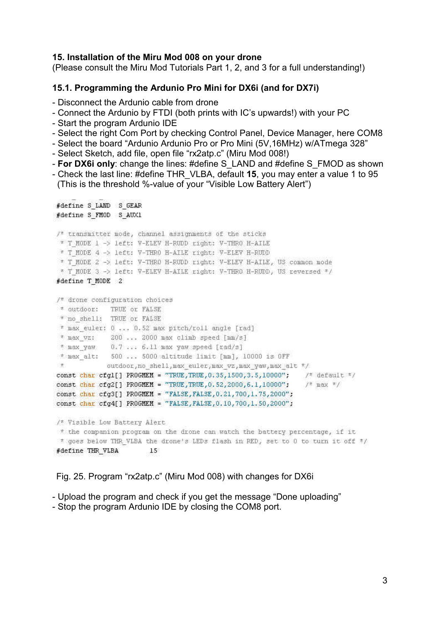#### **15. Installation of the Miru Mod 008 on your drone**

(Please consult the Miru Mod Tutorials Part 1, 2, and 3 for a full understanding!)

#### **15.1. Programming the Ardunio Pro Mini for DX6i (and for DX7i)**

- Disconnect the Ardunio cable from drone
- Connect the Ardunio by FTDI (both prints with IC's upwards!) with your PC
- Start the program Ardunio IDE
- Select the right Com Port by checking Control Panel, Device Manager, here COM8
- Select the board "Ardunio Ardunio Pro or Pro Mini (5V,16MHz) w/ATmega 328"
- Select Sketch, add file, open file "rx2atp.c" (Miru Mod 008!)
- **For DX6i only**: change the lines: #define S\_LAND and #define S\_FMOD as shown
- Check the last line: #define THR\_VLBA, default **15**, you may enter a value 1 to 95 (This is the threshold %-value of your "Visible Low Battery Alert")

```
#define S LAND S GEAR
#define S FMOD S AUX1
/* transmitter mode, channel assignments of the sticks
* T MODE 1 -> left: V-ELEV H-RUDD right: V-THRO H-AILE
* T MODE 4 -> left: V-THRO H-AILE right: V-ELEV H-RUDD
* T MODE 2 -> left: V-THRO H-RUDD right: V-ELEV H-AILE, US common mode
* T MODE 3 -> left: V-ELEV H-AILE right: V-THRO H-RUDD, US reversed */
#define T MODE 2
/* drone configuration choices
* outdoor: TRUE or FALSE
* no shell: TRUE or FALSE
* max euler: 0 ... 0.52 max pitch/roll angle [rad]
* max vz: 200 ... 2000 max climb speed [mm/s]
* max yaw 0.7 ... 6.11 max yaw speed [rad/s]
* max alt: 500 ... 5000 altitude limit [mm], 10000 is OFF
            outdoor, no shell, max euler, max vz, max yaw, max alt */
\piconst char cfg1[] PROGMEM = "TRUE, TRUE, 0.35, 1500, 3.5, 10000"; /* default */
const char cfq2[] PROGMEM = "TRUE, TRUE, 0.52, 2000, 6.1, 10000": /* max */
const char cfg3[] PROGMEM = "FALSE, FALSE, 0.21, 700, 1.75, 2000";
const char cfg4[] PROGMEM = "FALSE, FALSE, 0.10, 700, 1.50, 2000";
/* Visible Low Battery Alert
* the companion program on the drone can watch the battery percentage, if it
# goes below THR VLBA the drone's LEDs flash in RED, set to 0 to turn it off #/
#define THR VLBA
                      15
```
Fig. 25. Program "rx2atp.c" (Miru Mod 008) with changes for DX6i

- Upload the program and check if you get the message "Done uploading"

- Stop the program Ardunio IDE by closing the COM8 port.